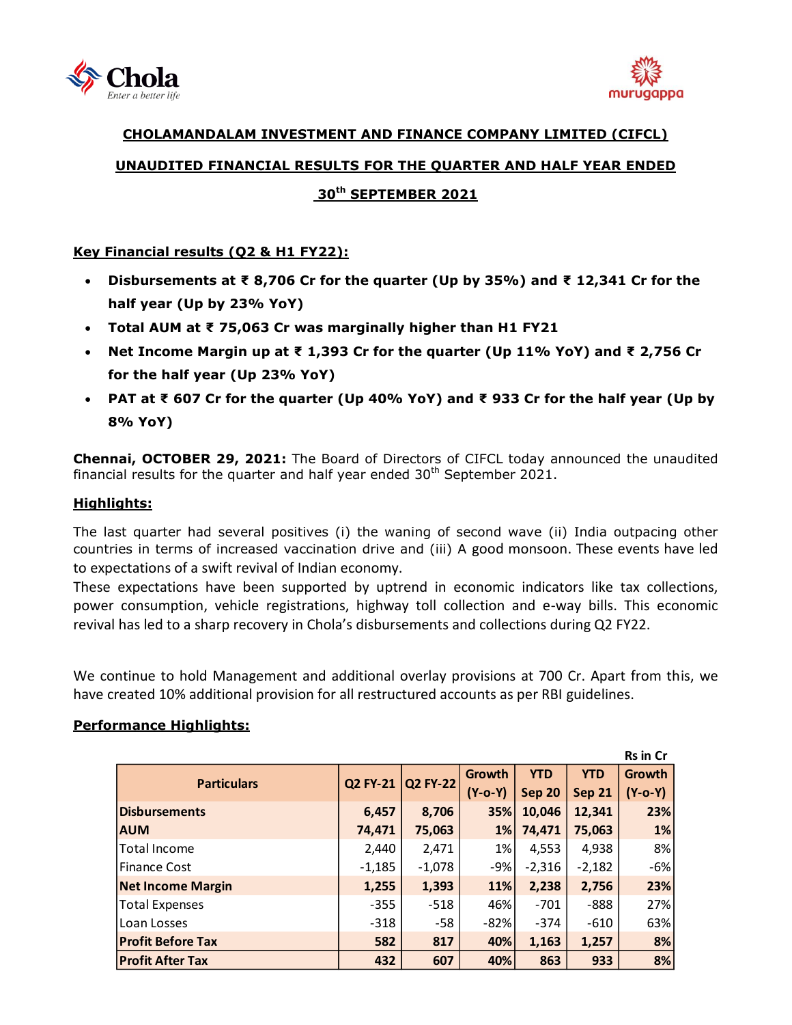



# **CHOLAMANDALAM INVESTMENT AND FINANCE COMPANY LIMITED (CIFCL) UNAUDITED FINANCIAL RESULTS FOR THE QUARTER AND HALF YEAR ENDED**

# **30 th SEPTEMBER 2021**

## **Key Financial results (Q2 & H1 FY22):**

- **Disbursements at ₹ 8,706 Cr for the quarter (Up by 35%) and ₹ 12,341 Cr for the half year (Up by 23% YoY)**
- **Total AUM at ₹ 75,063 Cr was marginally higher than H1 FY21**
- **Net Income Margin up at ₹ 1,393 Cr for the quarter (Up 11% YoY) and ₹ 2,756 Cr for the half year (Up 23% YoY)**
- **PAT at ₹ 607 Cr for the quarter (Up 40% YoY) and ₹ 933 Cr for the half year (Up by 8% YoY)**

**Chennai, OCTOBER 29, 2021:** The Board of Directors of [CIFCL](http://www.cholamandalam.com/) today announced the unaudited financial results for the quarter and half year ended  $30<sup>th</sup>$  September 2021.

## **Highlights:**

The last quarter had several positives (i) the waning of second wave (ii) India outpacing other countries in terms of increased vaccination drive and (iii) A good monsoon. These events have led to expectations of a swift revival of Indian economy.

These expectations have been supported by uptrend in economic indicators like tax collections, power consumption, vehicle registrations, highway toll collection and e-way bills. This economic revival has led to a sharp recovery in Chola's disbursements and collections during Q2 FY22.

We continue to hold Management and additional overlay provisions at 700 Cr. Apart from this, we have created 10% additional provision for all restructured accounts as per RBI guidelines.

|                          |                 |                 |               |               |               | <b>Rs in Cr</b> |
|--------------------------|-----------------|-----------------|---------------|---------------|---------------|-----------------|
| <b>Particulars</b>       | <b>Q2 FY-21</b> | <b>Q2 FY-22</b> | Growth        | <b>YTD</b>    | <b>YTD</b>    | Growth          |
|                          |                 |                 | $(Y - 0 - Y)$ | <b>Sep 20</b> | <b>Sep 21</b> | $(Y-o-Y)$       |
| <b>Disbursements</b>     | 6,457           | 8,706           | 35%           | 10,046        | 12,341        | 23%             |
| <b>AUM</b>               | 74,471          | 75,063          | $1\%$         | 74,471        | 75,063        | 1%              |
| Total Income             | 2,440           | 2,471           | $1\%$         | 4,553         | 4,938         | 8%              |
| <b>Finance Cost</b>      | $-1,185$        | $-1,078$        | $-9%$         | $-2,316$      | $-2,182$      | $-6%$           |
| <b>Net Income Margin</b> | 1,255           | 1,393           | 11%           | 2,238         | 2,756         | 23%             |
| <b>Total Expenses</b>    | $-355$          | $-518$          | 46%           | $-701$        | $-888$        | 27%             |
| Loan Losses              | $-318$          | -58             | $-82%$        | $-374$        | $-610$        | 63%             |
| <b>Profit Before Tax</b> | 582             | 817             | 40%           | 1,163         | 1,257         | 8%              |
| <b>Profit After Tax</b>  | 432             | 607             | 40%           | 863           | 933           | 8%              |

## **Performance Highlights:**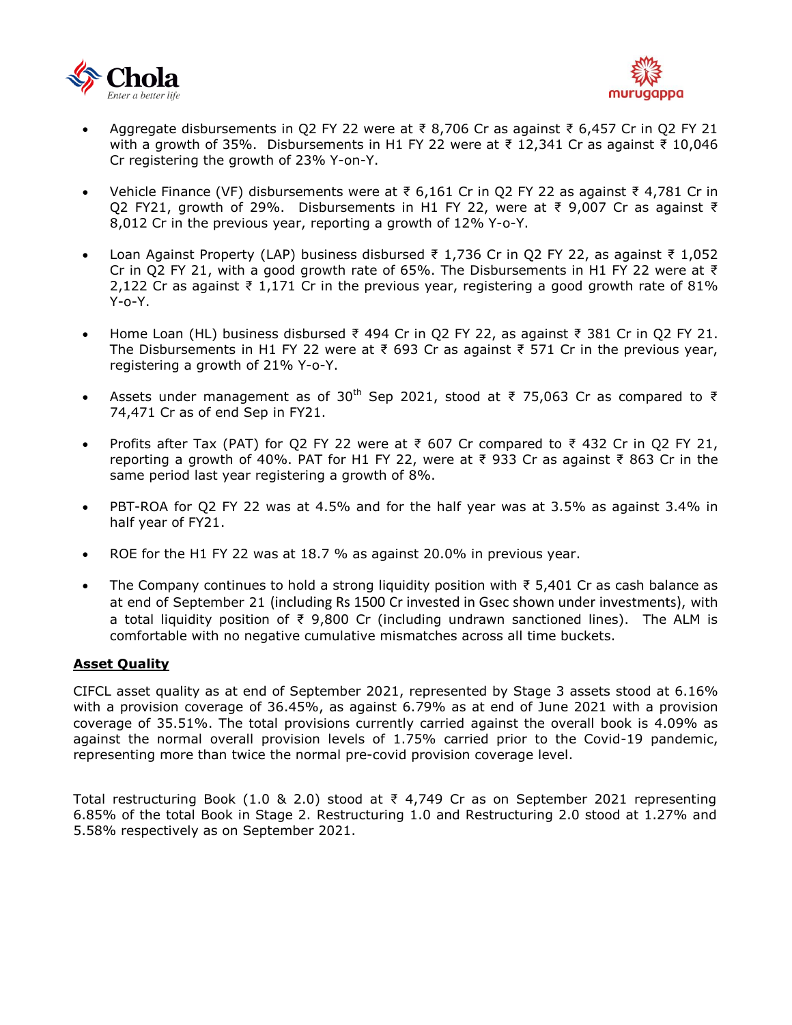



- Aggregate disbursements in Q2 FY 22 were at ₹ 8,706 Cr as against ₹ 6,457 Cr in Q2 FY 21 with a growth of 35%. Disbursements in H1 FY 22 were at ₹ 12,341 Cr as against ₹ 10,046 Cr registering the growth of 23% Y-on-Y.
- Vehicle Finance (VF) disbursements were at ₹ 6,161 Cr in Q2 FY 22 as against ₹ 4,781 Cr in Q2 FY21, growth of 29%. Disbursements in H1 FY 22, were at ₹ 9,007 Cr as against ₹ 8,012 Cr in the previous year, reporting a growth of 12% Y-o-Y.
- Loan Against Property (LAP) business disbursed ₹ 1,736 Cr in Q2 FY 22, as against ₹ 1,052 Cr in Q2 FY 21, with a good growth rate of 65%. The Disbursements in H1 FY 22 were at ₹ 2,122 Cr as against ₹ 1,171 Cr in the previous year, registering a good growth rate of 81% Y-o-Y.
- Home Loan (HL) business disbursed ₹ 494 Cr in Q2 FY 22, as against ₹ 381 Cr in Q2 FY 21. The Disbursements in H1 FY 22 were at ₹ 693 Cr as against ₹ 571 Cr in the previous year, registering a growth of 21% Y-o-Y.
- Assets under management as of 30<sup>th</sup> Sep 2021, stood at ₹ 75,063 Cr as compared to ₹ 74,471 Cr as of end Sep in FY21.
- Profits after Tax (PAT) for Q2 FY 22 were at ₹ 607 Cr compared to ₹ 432 Cr in Q2 FY 21, reporting a growth of 40%. PAT for H1 FY 22, were at ₹ 933 Cr as against ₹ 863 Cr in the same period last year registering a growth of 8%.
- PBT-ROA for Q2 FY 22 was at 4.5% and for the half year was at 3.5% as against 3.4% in half year of FY21.
- ROE for the H1 FY 22 was at 18.7 % as against 20.0% in previous year.
- The Company continues to hold a strong liquidity position with  $\bar{z}$  5,401 Cr as cash balance as at end of September 21 (including Rs 1500 Cr invested in Gsec shown under investments), with a total liquidity position of ₹ 9,800 Cr (including undrawn sanctioned lines). The ALM is comfortable with no negative cumulative mismatches across all time buckets.

#### **Asset Quality**

CIFCL asset quality as at end of September 2021, represented by Stage 3 assets stood at 6.16% with a provision coverage of 36.45%, as against 6.79% as at end of June 2021 with a provision coverage of 35.51%. The total provisions currently carried against the overall book is 4.09% as against the normal overall provision levels of 1.75% carried prior to the Covid-19 pandemic, representing more than twice the normal pre-covid provision coverage level.

Total restructuring Book (1.0 & 2.0) stood at ₹ 4,749 Cr as on September 2021 representing 6.85% of the total Book in Stage 2. Restructuring 1.0 and Restructuring 2.0 stood at 1.27% and 5.58% respectively as on September 2021.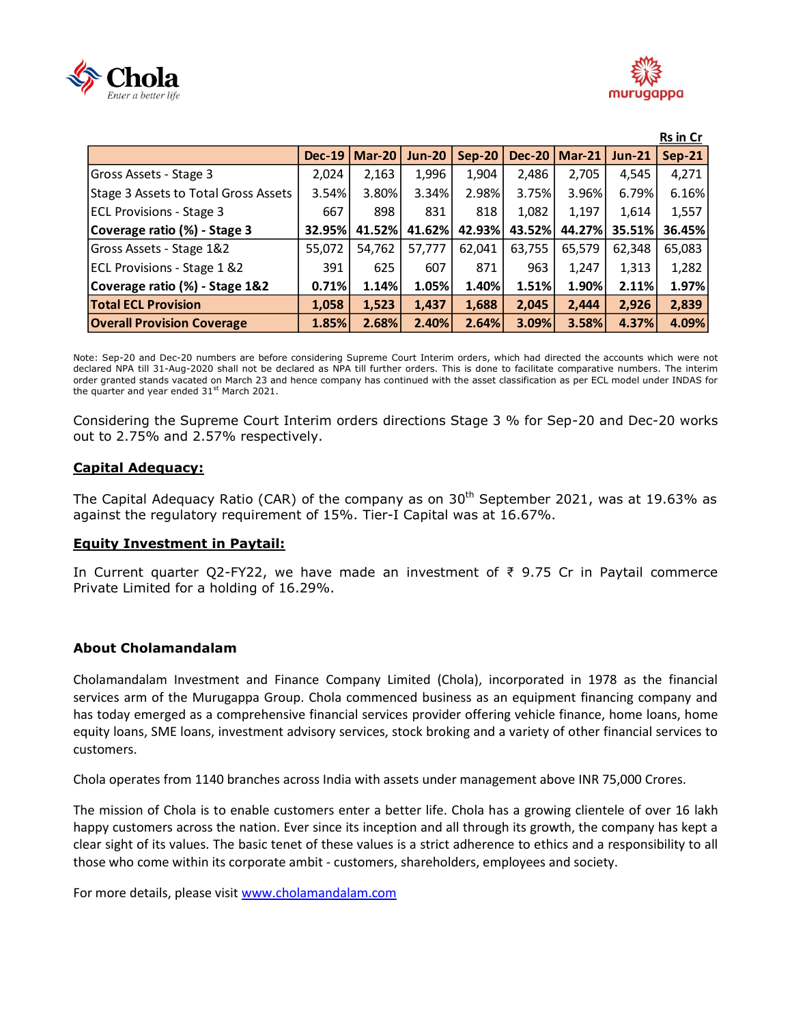



|                                      |               |               |               |               |               |               |               | Rs in Cr      |
|--------------------------------------|---------------|---------------|---------------|---------------|---------------|---------------|---------------|---------------|
|                                      | <b>Dec-19</b> | <b>Mar-20</b> | <b>Jun-20</b> | <b>Sep-20</b> | <b>Dec-20</b> | <b>Mar-21</b> | <b>Jun-21</b> | <b>Sep-21</b> |
| Gross Assets - Stage 3               | 2,024         | 2,163         | 1,996         | 1,904         | 2,486         | 2,705         | 4.545         | 4,271         |
| Stage 3 Assets to Total Gross Assets | 3.54%         | 3.80%         | 3.34%         | 2.98%         | 3.75%         | 3.96%         | 6.79%         | 6.16%         |
| <b>ECL Provisions - Stage 3</b>      | 667           | 898           | 831           | 818           | 1,082         | 1,197         | 1,614         | 1,557         |
| Coverage ratio (%) - Stage 3         | 32.95%        | 41.52%        | 41.62%        | 42.93%        | 43.52%        | 44.27%        | 35.51%        | 36.45%        |
| Gross Assets - Stage 1&2             | 55,072        | 54,762        | 57,777        | 62,041        | 63,755        | 65,579        | 62,348        | 65,083        |
| ECL Provisions - Stage 1 &2          | 391           | 625           | 607           | 871           | 963           | 1,247         | 1,313         | 1,282         |
| Coverage ratio (%) - Stage 1&2       | 0.71%         | 1.14%         | 1.05%         | 1.40%         | 1.51%         | 1.90%         | 2.11%         | 1.97%         |
| <b>Total ECL Provision</b>           | 1,058         | 1,523         | 1,437         | 1,688         | 2,045         | 2,444         | 2,926         | 2,839         |
| <b>Overall Provision Coverage</b>    | 1.85%         | 2.68%         | 2.40%         | 2.64%         | 3.09%         | 3.58%         | 4.37%         | 4.09%         |

Note: Sep-20 and Dec-20 numbers are before considering Supreme Court Interim orders, which had directed the accounts which were not declared NPA till 31-Aug-2020 shall not be declared as NPA till further orders. This is done to facilitate comparative numbers. The interim order granted stands vacated on March 23 and hence company has continued with the asset classification as per ECL model under INDAS for the quarter and year ended 31<sup>st</sup> March 2021.

Considering the Supreme Court Interim orders directions Stage 3 % for Sep-20 and Dec-20 works out to 2.75% and 2.57% respectively.

### **Capital Adequacy:**

The Capital Adequacy Ratio (CAR) of the company as on  $30<sup>th</sup>$  September 2021, was at 19.63% as against the regulatory requirement of 15%. Tier-I Capital was at 16.67%.

#### **Equity Investment in Paytail:**

In Current quarter Q2-FY22, we have made an investment of ₹ 9.75 Cr in Paytail commerce Private Limited for a holding of 16.29%.

#### **About Cholamandalam**

Cholamandalam Investment and Finance Company Limited (Chola), incorporated in 1978 as the financial services arm of the Murugappa Group. Chola commenced business as an equipment financing company and has today emerged as a comprehensive financial services provider offering vehicle finance, home loans, home equity loans, SME loans, investment advisory services, stock broking and a variety of other financial services to customers.

Chola operates from 1140 branches across India with assets under management above INR 75,000 Crores.

The mission of Chola is to enable customers enter a better life. Chola has a growing clientele of over 16 lakh happy customers across the nation. Ever since its inception and all through its growth, the company has kept a clear sight of its values. The basic tenet of these values is a strict adherence to ethics and a responsibility to all those who come within its corporate ambit - customers, shareholders, employees and society.

For more details, please visit [www.cholamandalam.com](http://www.cholamandalam.com/)